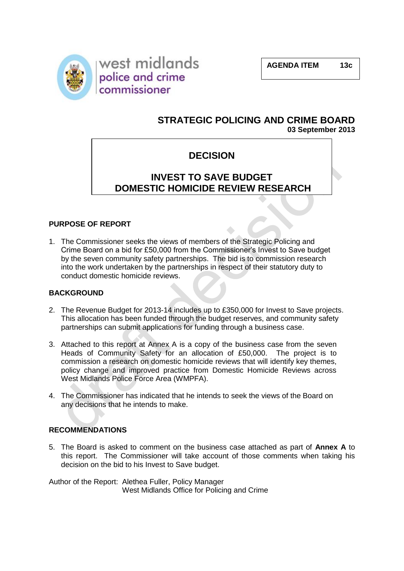



## **STRATEGIC POLICING AND CRIME BOARD 03 September 2013**

## **DECISION**

# **INVEST TO SAVE BUDGET DOMESTIC HOMICIDE REVIEW RESEARCH**

**PROJE**CT **PRO** 

### **PURPOSE OF REPORT**

1. The Commissioner seeks the views of members of the Strategic Policing and Crime Board on a bid for £50,000 from the Commissioner's Invest to Save budget by the seven community safety partnerships. The bid is to commission research into the work undertaken by the partnerships in respect of their statutory duty to conduct domestic homicide reviews.

#### **BACKGROUND**

- 2. The Revenue Budget for 2013-14 includes up to £350,000 for Invest to Save projects. This allocation has been funded through the budget reserves, and community safety partnerships can submit applications for funding through a business case.
- 3. Attached to this report at Annex A is a copy of the business case from the seven Heads of Community Safety for an allocation of £50,000. The project is to commission a research on domestic homicide reviews that will identify key themes, policy change and improved practice from Domestic Homicide Reviews across West Midlands Police Force Area (WMPFA).
- 4. The Commissioner has indicated that he intends to seek the views of the Board on any decisions that he intends to make.

#### **RECOMMENDATIONS**

5. The Board is asked to comment on the business case attached as part of **Annex A** to this report. The Commissioner will take account of those comments when taking his decision on the bid to his Invest to Save budget.

Author of the Report: Alethea Fuller, Policy Manager West Midlands Office for Policing and Crime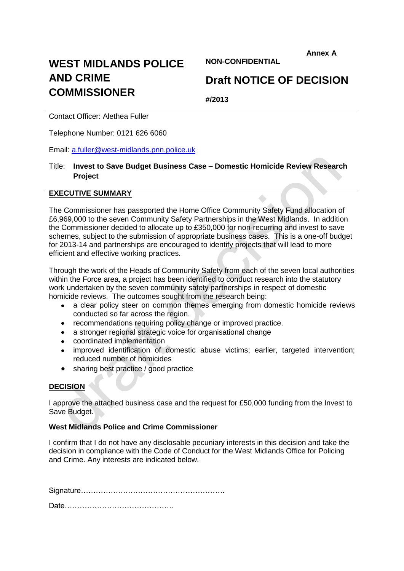**Annex A**

# **WEST MIDLANDS POLICE AND CRIME COMMISSIONER**

**NON-CONFIDENTIAL**

# **Draft NOTICE OF DECISION**

**#/2013**

Contact Officer: Alethea Fuller

Telephone Number: 0121 626 6060

Email: [a.fuller@west-midlands.pnn.police.uk](mailto:a.fuller@west-midlands.pnn.police.uk)

#### Title: **Invest to Save Budget Business Case – Domestic Homicide Review Research Project**

#### **EXECUTIVE SUMMARY**

The Commissioner has passported the Home Office Community Safety Fund allocation of £6,969,000 to the seven Community Safety Partnerships in the West Midlands. In addition the Commissioner decided to allocate up to £350,000 for non-recurring and invest to save schemes, subject to the submission of appropriate business cases. This is a one-off budget for 2013-14 and partnerships are encouraged to identify projects that will lead to more efficient and effective working practices.

Through the work of the Heads of Community Safety from each of the seven local authorities within the Force area, a project has been identified to conduct research into the statutory work undertaken by the seven community safety partnerships in respect of domestic homicide reviews. The outcomes sought from the research being:

- $\bullet$ a clear policy steer on common themes emerging from domestic homicide reviews conducted so far across the region.
- recommendations requiring policy change or improved practice.
- a stronger regional strategic voice for organisational change  $\bullet$
- coordinated implementation
- improved identification of domestic abuse victims; earlier, targeted intervention;  $\bullet$ reduced number of homicides
- sharing best practice / good practice

#### **DECISION**

I approve the attached business case and the request for £50,000 funding from the Invest to Save Budget.

#### **West Midlands Police and Crime Commissioner**

I confirm that I do not have any disclosable pecuniary interests in this decision and take the decision in compliance with the Code of Conduct for the West Midlands Office for Policing and Crime. Any interests are indicated below.

Signature………………………………………………….

Date……………………………………..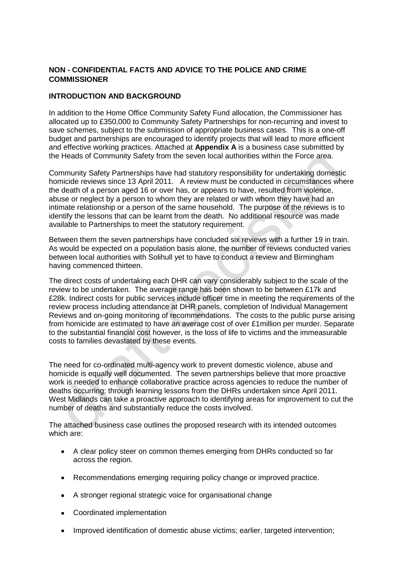### **NON - CONFIDENTIAL FACTS AND ADVICE TO THE POLICE AND CRIME COMMISSIONER**

#### **INTRODUCTION AND BACKGROUND**

In addition to the Home Office Community Safety Fund allocation, the Commissioner has allocated up to £350,000 to Community Safety Partnerships for non-recurring and invest to save schemes, subject to the submission of appropriate business cases. This is a one-off budget and partnerships are encouraged to identify projects that will lead to more efficient and effective working practices. Attached at **Appendix A** is a business case submitted by the Heads of Community Safety from the seven local authorities within the Force area.

Community Safety Partnerships have had statutory responsibility for undertaking domestic homicide reviews since 13 April 2011. A review must be conducted in circumstances where the death of a person aged 16 or over has, or appears to have, resulted from violence, abuse or neglect by a person to whom they are related or with whom they have had an intimate relationship or a person of the same household. The purpose of the reviews is to identify the lessons that can be learnt from the death. No additional resource was made available to Partnerships to meet the statutory requirement.

Between them the seven partnerships have concluded six reviews with a further 19 in train. As would be expected on a population basis alone, the number of reviews conducted varies between local authorities with Solihull yet to have to conduct a review and Birmingham having commenced thirteen.

The direct costs of undertaking each DHR can vary considerably subject to the scale of the review to be undertaken. The average range has been shown to be between £17k and £28k. Indirect costs for public services include officer time in meeting the requirements of the review process including attendance at DHR panels, completion of Individual Management Reviews and on-going monitoring of recommendations. The costs to the public purse arising from homicide are estimated to have an average cost of over £1million per murder. Separate to the substantial financial cost however, is the loss of life to victims and the immeasurable costs to families devastated by these events.

The need for co-ordinated multi-agency work to prevent domestic violence, abuse and homicide is equally well documented. The seven partnerships believe that more proactive work is needed to enhance collaborative practice across agencies to reduce the number of deaths occurring; through learning lessons from the DHRs undertaken since April 2011. West Midlands can take a proactive approach to identifying areas for improvement to cut the number of deaths and substantially reduce the costs involved.

The attached business case outlines the proposed research with its intended outcomes which are:

- A clear policy steer on common themes emerging from DHRs conducted so far across the region.
- $\bullet$ Recommendations emerging requiring policy change or improved practice.
- A stronger regional strategic voice for organisational change
- Coordinated implementation
- Improved identification of domestic abuse victims; earlier, targeted intervention;  $\bullet$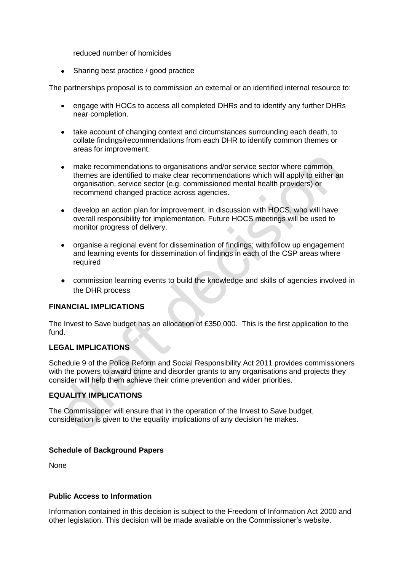reduced number of homicides

 $\bullet$ Sharing best practice / good practice

The partnerships proposal is to commission an external or an identified internal resource to:

- engage with HOCs to access all completed DHRs and to identify any further DHRs near completion.
- take account of changing context and circumstances surrounding each death, to collate findings/recommendations from each DHR to identify common themes or areas for improvement.
- make recommendations to organisations and/or service sector where common themes are identified to make clear recommendations which will apply to either an organisation, service sector (e.g. commissioned mental health providers) or recommend changed practice across agencies.
- develop an action plan for improvement, in discussion with HOCS, who will have  $\bullet$ overall responsibility for implementation. Future HOCS meetings will be used to monitor progress of delivery.
- organise a regional event for dissemination of findings; with follow up engagement and learning events for dissemination of findings in each of the CSP areas where required
- commission learning events to build the knowledge and skills of agencies involved in the DHR process

#### **FINANCIAL IMPLICATIONS**

The Invest to Save budget has an allocation of £350,000. This is the first application to the fund.

#### **LEGAL IMPLICATIONS**

Schedule 9 of the Police Reform and Social Responsibility Act 2011 provides commissioners with the powers to award crime and disorder grants to any organisations and projects they consider will help them achieve their crime prevention and wider priorities.

#### **EQUALITY IMPLICATIONS**

The Commissioner will ensure that in the operation of the Invest to Save budget, consideration is given to the equality implications of any decision he makes.

#### **Schedule of Background Papers**

None

#### **Public Access to Information**

Information contained in this decision is subject to the Freedom of Information Act 2000 and other legislation. This decision will be made available on the Commissioner's website.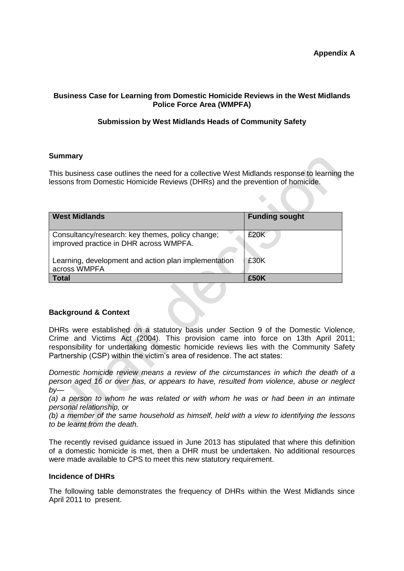#### **Business Case for Learning from Domestic Homicide Reviews in the West Midlands Police Force Area (WMPFA)**

#### **Submission by West Midlands Heads of Community Safety**

#### **Summary**

This business case outlines the need for a collective West Midlands response to learning the lessons from Domestic Homicide Reviews (DHRs) and the prevention of homicide.

| <b>West Midlands</b>                                                                       | <b>Funding sought</b> |
|--------------------------------------------------------------------------------------------|-----------------------|
| Consultancy/research: key themes, policy change;<br>improved practice in DHR across WMPFA. | £20K                  |
| Learning, development and action plan implementation<br>across WMPFA                       | £30K                  |
| Total                                                                                      | £50K                  |

#### **Background & Context**

DHRs were established on a statutory basis under Section 9 of the Domestic Violence, Crime and Victims Act (2004). This provision came into force on 13th April 2011; responsibility for undertaking domestic homicide reviews lies with the Community Safety Partnership (CSP) within the victim's area of residence. The act states:

*Domestic homicide review means a review of the circumstances in which the death of a person aged 16 or over has, or appears to have, resulted from violence, abuse or neglect by—*

*(a) a person to whom he was related or with whom he was or had been in an intimate personal relationship, or* 

*(b) a member of the same household as himself, held with a view to identifying the lessons to be learnt from the death.* 

The recently revised guidance issued in June 2013 has stipulated that where this definition of a domestic homicide is met, then a DHR must be undertaken. No additional resources were made available to CPS to meet this new statutory requirement.

#### **Incidence of DHRs**

The following table demonstrates the frequency of DHRs within the West Midlands since April 2011 to present.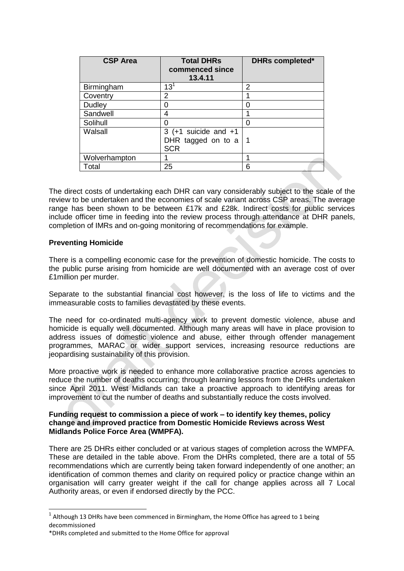| <b>CSP Area</b> | <b>Total DHRs</b><br>commenced since<br>13.4.11            | <b>DHRs completed*</b> |
|-----------------|------------------------------------------------------------|------------------------|
| Birmingham      | $13^{1}$                                                   | 2                      |
| Coventry        | 2                                                          |                        |
| Dudley          | 0                                                          | Ω                      |
| Sandwell        | 4                                                          |                        |
| Solihull        | 0                                                          | 0                      |
| Walsall         | $3$ (+1 suicide and +1<br>DHR tagged on to a<br><b>SCR</b> |                        |
| Wolverhampton   |                                                            |                        |
| Total           | 25                                                         | 6                      |

The direct costs of undertaking each DHR can vary considerably subject to the scale of the review to be undertaken and the economies of scale variant across CSP areas. The average range has been shown to be between £17k and £28k. Indirect costs for public services include officer time in feeding into the review process through attendance at DHR panels, completion of IMRs and on-going monitoring of recommendations for example.

#### **Preventing Homicide**

-

There is a compelling economic case for the prevention of domestic homicide. The costs to the public purse arising from homicide are well documented with an average cost of over £1million per murder.

Separate to the substantial financial cost however, is the loss of life to victims and the immeasurable costs to families devastated by these events.

The need for co-ordinated multi-agency work to prevent domestic violence, abuse and homicide is equally well documented. Although many areas will have in place provision to address issues of domestic violence and abuse, either through offender management programmes, MARAC or wider support services, increasing resource reductions are jeopardising sustainability of this provision.

More proactive work is needed to enhance more collaborative practice across agencies to reduce the number of deaths occurring; through learning lessons from the DHRs undertaken since April 2011. West Midlands can take a proactive approach to identifying areas for improvement to cut the number of deaths and substantially reduce the costs involved.

#### **Funding request to commission a piece of work – to identify key themes, policy change and improved practice from Domestic Homicide Reviews across West Midlands Police Force Area (WMPFA).**

There are 25 DHRs either concluded or at various stages of completion across the WMPFA. These are detailed in the table above. From the DHRs completed, there are a total of 55 recommendations which are currently being taken forward independently of one another; an identification of common themes and clarity on required policy or practice change within an organisation will carry greater weight if the call for change applies across all 7 Local Authority areas, or even if endorsed directly by the PCC.

 $<sup>1</sup>$  Although 13 DHRs have been commenced in Birmingham, the Home Office has agreed to 1 being</sup> decommissioned

<sup>\*</sup>DHRs completed and submitted to the Home Office for approval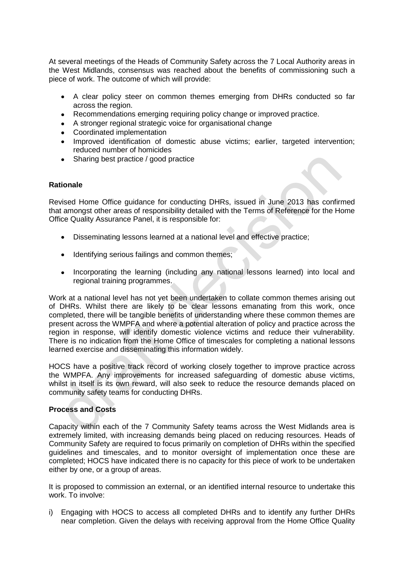At several meetings of the Heads of Community Safety across the 7 Local Authority areas in the West Midlands, consensus was reached about the benefits of commissioning such a piece of work. The outcome of which will provide:

- A clear policy steer on common themes emerging from DHRs conducted so far  $\bullet$ across the region.
- Recommendations emerging requiring policy change or improved practice.
- A stronger regional strategic voice for organisational change
- Coordinated implementation
- Improved identification of domestic abuse victims; earlier, targeted intervention; reduced number of homicides
- Sharing best practice / good practice

#### **Rationale**

Revised Home Office guidance for conducting DHRs, issued in June 2013 has confirmed that amongst other areas of responsibility detailed with the Terms of Reference for the Home Office Quality Assurance Panel, it is responsible for:

- Disseminating lessons learned at a national level and effective practice;
- Identifying serious failings and common themes;
- Incorporating the learning (including any national lessons learned) into local and regional training programmes.

Work at a national level has not yet been undertaken to collate common themes arising out of DHRs. Whilst there are likely to be clear lessons emanating from this work, once completed, there will be tangible benefits of understanding where these common themes are present across the WMPFA and where a potential alteration of policy and practice across the region in response, will identify domestic violence victims and reduce their vulnerability. There is no indication from the Home Office of timescales for completing a national lessons learned exercise and disseminating this information widely.

HOCS have a positive track record of working closely together to improve practice across the WMPFA. Any improvements for increased safeguarding of domestic abuse victims, whilst in itself is its own reward, will also seek to reduce the resource demands placed on community safety teams for conducting DHRs.

#### **Process and Costs**

Capacity within each of the 7 Community Safety teams across the West Midlands area is extremely limited, with increasing demands being placed on reducing resources. Heads of Community Safety are required to focus primarily on completion of DHRs within the specified guidelines and timescales, and to monitor oversight of implementation once these are completed; HOCS have indicated there is no capacity for this piece of work to be undertaken either by one, or a group of areas.

It is proposed to commission an external, or an identified internal resource to undertake this work. To involve:

i) Engaging with HOCS to access all completed DHRs and to identify any further DHRs near completion. Given the delays with receiving approval from the Home Office Quality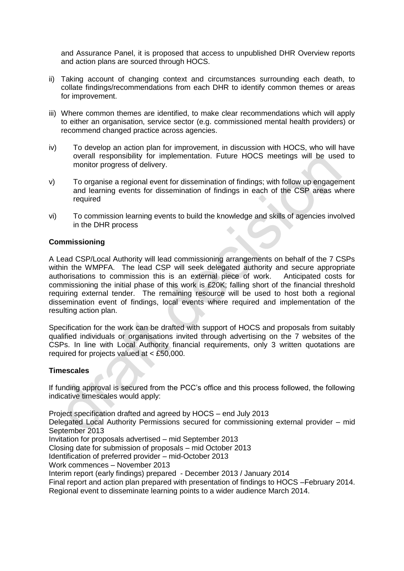and Assurance Panel, it is proposed that access to unpublished DHR Overview reports and action plans are sourced through HOCS.

- ii) Taking account of changing context and circumstances surrounding each death, to collate findings/recommendations from each DHR to identify common themes or areas for improvement.
- iii) Where common themes are identified, to make clear recommendations which will apply to either an organisation, service sector (e.g. commissioned mental health providers) or recommend changed practice across agencies.
- iv) To develop an action plan for improvement, in discussion with HOCS, who will have overall responsibility for implementation. Future HOCS meetings will be used to monitor progress of delivery.
- v) To organise a regional event for dissemination of findings; with follow up engagement and learning events for dissemination of findings in each of the CSP areas where required
- vi) To commission learning events to build the knowledge and skills of agencies involved in the DHR process

#### **Commissioning**

A Lead CSP/Local Authority will lead commissioning arrangements on behalf of the 7 CSPs within the WMPFA. The lead CSP will seek delegated authority and secure appropriate authorisations to commission this is an external piece of work. Anticipated costs for commissioning the initial phase of this work is £20K; falling short of the financial threshold requiring external tender. The remaining resource will be used to host both a regional dissemination event of findings, local events where required and implementation of the resulting action plan.

Specification for the work can be drafted with support of HOCS and proposals from suitably qualified individuals or organisations invited through advertising on the 7 websites of the CSPs. In line with Local Authority financial requirements, only 3 written quotations are required for projects valued at < £50,000.

#### **Timescales**

If funding approval is secured from the PCC's office and this process followed, the following indicative timescales would apply:

Project specification drafted and agreed by HOCS – end July 2013

Delegated Local Authority Permissions secured for commissioning external provider – mid September 2013

Invitation for proposals advertised – mid September 2013

Closing date for submission of proposals – mid October 2013

Identification of preferred provider – mid-October 2013

Work commences – November 2013

Interim report (early findings) prepared - December 2013 / January 2014

Final report and action plan prepared with presentation of findings to HOCS –February 2014.

Regional event to disseminate learning points to a wider audience March 2014.